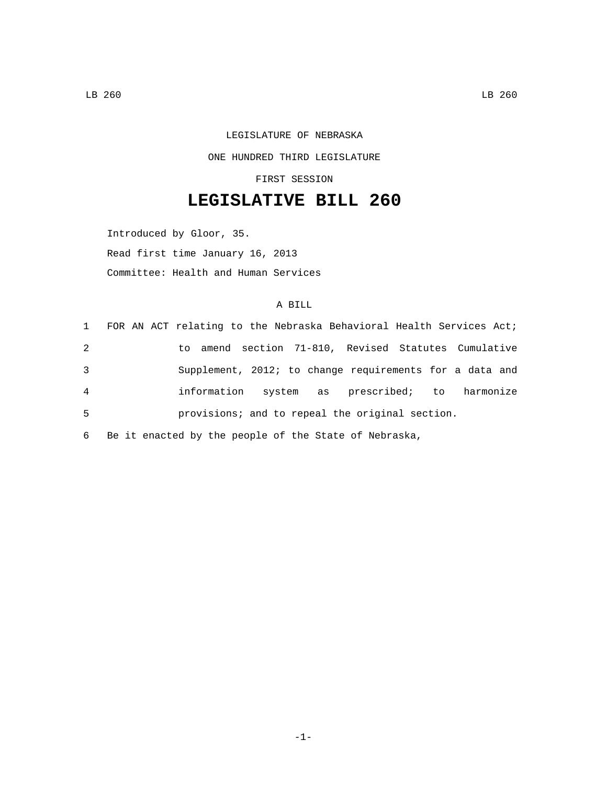## LEGISLATURE OF NEBRASKA ONE HUNDRED THIRD LEGISLATURE FIRST SESSION

## **LEGISLATIVE BILL 260**

Introduced by Gloor, 35. Read first time January 16, 2013 Committee: Health and Human Services

## A BILL

|   | 1 FOR AN ACT relating to the Nebraska Behavioral Health Services Act; |
|---|-----------------------------------------------------------------------|
| 2 | to amend section 71-810, Revised Statutes Cumulative                  |
| 3 | Supplement, 2012; to change requirements for a data and               |
| 4 | information<br>system as prescribed; to harmonize                     |
| 5 | provisions; and to repeal the original section.                       |
|   |                                                                       |

6 Be it enacted by the people of the State of Nebraska,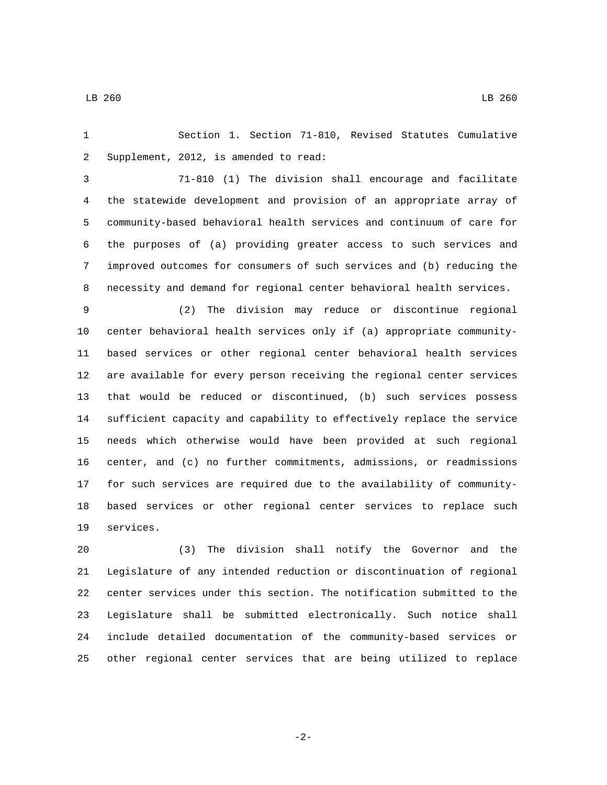LB 260 LB 260

 Section 1. Section 71-810, Revised Statutes Cumulative 2 Supplement, 2012, is amended to read:

 71-810 (1) The division shall encourage and facilitate the statewide development and provision of an appropriate array of community-based behavioral health services and continuum of care for the purposes of (a) providing greater access to such services and improved outcomes for consumers of such services and (b) reducing the necessity and demand for regional center behavioral health services.

 (2) The division may reduce or discontinue regional center behavioral health services only if (a) appropriate community- based services or other regional center behavioral health services are available for every person receiving the regional center services that would be reduced or discontinued, (b) such services possess sufficient capacity and capability to effectively replace the service needs which otherwise would have been provided at such regional center, and (c) no further commitments, admissions, or readmissions for such services are required due to the availability of community- based services or other regional center services to replace such 19 services.

 (3) The division shall notify the Governor and the Legislature of any intended reduction or discontinuation of regional center services under this section. The notification submitted to the Legislature shall be submitted electronically. Such notice shall include detailed documentation of the community-based services or other regional center services that are being utilized to replace

-2-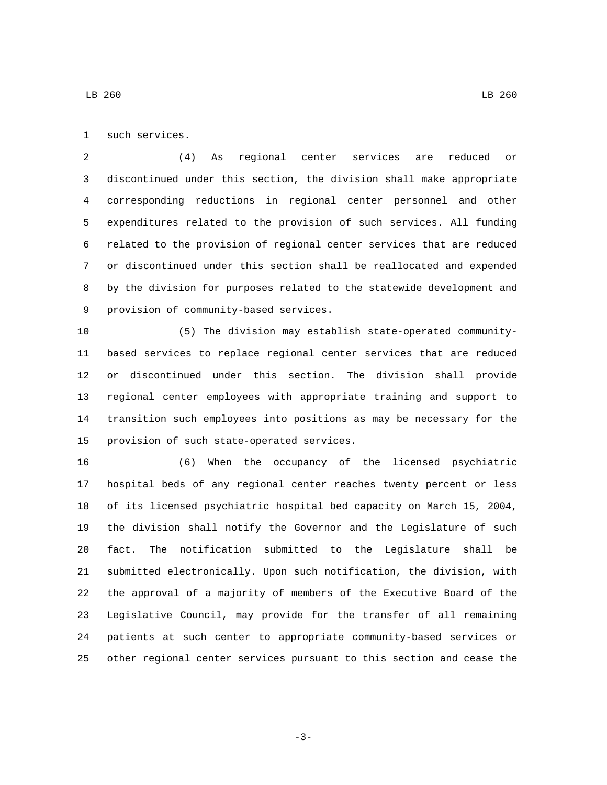1 such services.

 (4) As regional center services are reduced or discontinued under this section, the division shall make appropriate corresponding reductions in regional center personnel and other expenditures related to the provision of such services. All funding related to the provision of regional center services that are reduced or discontinued under this section shall be reallocated and expended by the division for purposes related to the statewide development and 9 provision of community-based services.

 (5) The division may establish state-operated community- based services to replace regional center services that are reduced or discontinued under this section. The division shall provide regional center employees with appropriate training and support to transition such employees into positions as may be necessary for the 15 provision of such state-operated services.

 (6) When the occupancy of the licensed psychiatric hospital beds of any regional center reaches twenty percent or less of its licensed psychiatric hospital bed capacity on March 15, 2004, the division shall notify the Governor and the Legislature of such fact. The notification submitted to the Legislature shall be submitted electronically. Upon such notification, the division, with the approval of a majority of members of the Executive Board of the Legislative Council, may provide for the transfer of all remaining patients at such center to appropriate community-based services or other regional center services pursuant to this section and cease the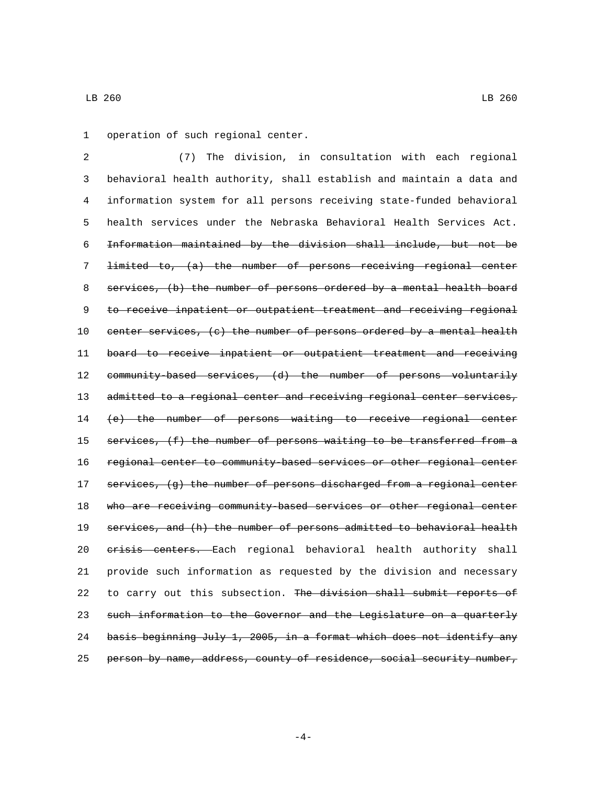1 operation of such regional center.

 (7) The division, in consultation with each regional behavioral health authority, shall establish and maintain a data and information system for all persons receiving state-funded behavioral health services under the Nebraska Behavioral Health Services Act. Information maintained by the division shall include, but not be limited to, (a) the number of persons receiving regional center services, (b) the number of persons ordered by a mental health board 9 to receive inpatient or outpatient treatment and receiving regional center services, (c) the number of persons ordered by a mental health board to receive inpatient or outpatient treatment and receiving 12 community-based services, (d) the number of persons voluntarily 13 admitted to a regional center and receiving regional center services, (e) the number of persons waiting to receive regional center 15 services, (f) the number of persons waiting to be transferred from a regional center to community-based services or other regional center 17 services, (g) the number of persons discharged from a regional center 18 who are receiving community based services or other regional center services, and (h) the number of persons admitted to behavioral health 20 crisis centers. Each regional behavioral health authority shall provide such information as requested by the division and necessary 22 to carry out this subsection. The division shall submit reports of such information to the Governor and the Legislature on a quarterly 24 basis beginning July 1, 2005, in a format which does not identify any person by name, address, county of residence, social security number,